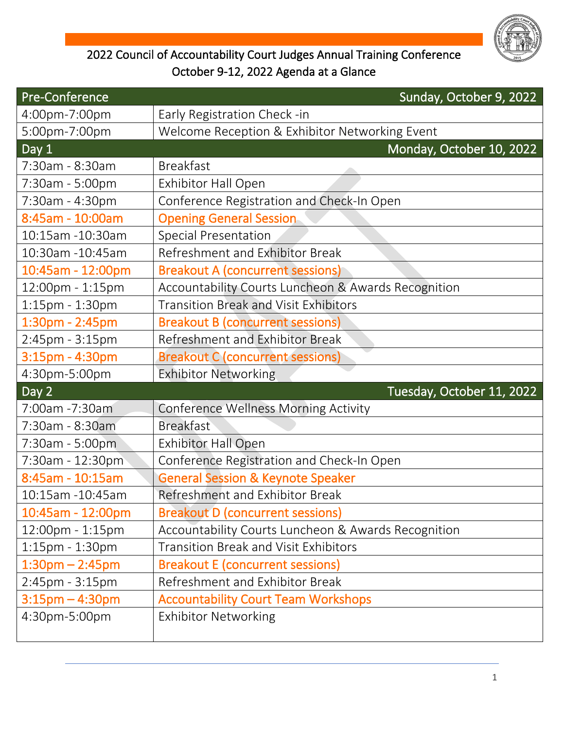

## 2022 Council of Accountability Court Judges Annual Training Conference October 9-12, 2022 Agenda at a Glance

| Sunday, October 9, 2022                             |
|-----------------------------------------------------|
| Early Registration Check -in                        |
| Welcome Reception & Exhibitor Networking Event      |
| Monday, October 10, 2022                            |
| <b>Breakfast</b>                                    |
| <b>Exhibitor Hall Open</b>                          |
| Conference Registration and Check-In Open           |
| <b>Opening General Session</b>                      |
| <b>Special Presentation</b>                         |
| Refreshment and Exhibitor Break                     |
| <b>Breakout A (concurrent sessions)</b>             |
| Accountability Courts Luncheon & Awards Recognition |
| <b>Transition Break and Visit Exhibitors</b>        |
| <b>Breakout B (concurrent sessions)</b>             |
| Refreshment and Exhibitor Break                     |
| <b>Breakout C (concurrent sessions)</b>             |
| <b>Exhibitor Networking</b>                         |
| Tuesday, October 11, 2022                           |
| <b>Conference Wellness Morning Activity</b>         |
| <b>Breakfast</b>                                    |
| <b>Exhibitor Hall Open</b>                          |
| Conference Registration and Check-In Open           |
| <b>General Session &amp; Keynote Speaker</b>        |
| Refreshment and Exhibitor Break                     |
| <b>Breakout D (concurrent sessions)</b>             |
| Accountability Courts Luncheon & Awards Recognition |
| Transition Break and Visit Exhibitors               |
| <b>Breakout E (concurrent sessions)</b>             |
| Refreshment and Exhibitor Break                     |
| <b>Accountability Court Team Workshops</b>          |
| <b>Exhibitor Networking</b>                         |
|                                                     |